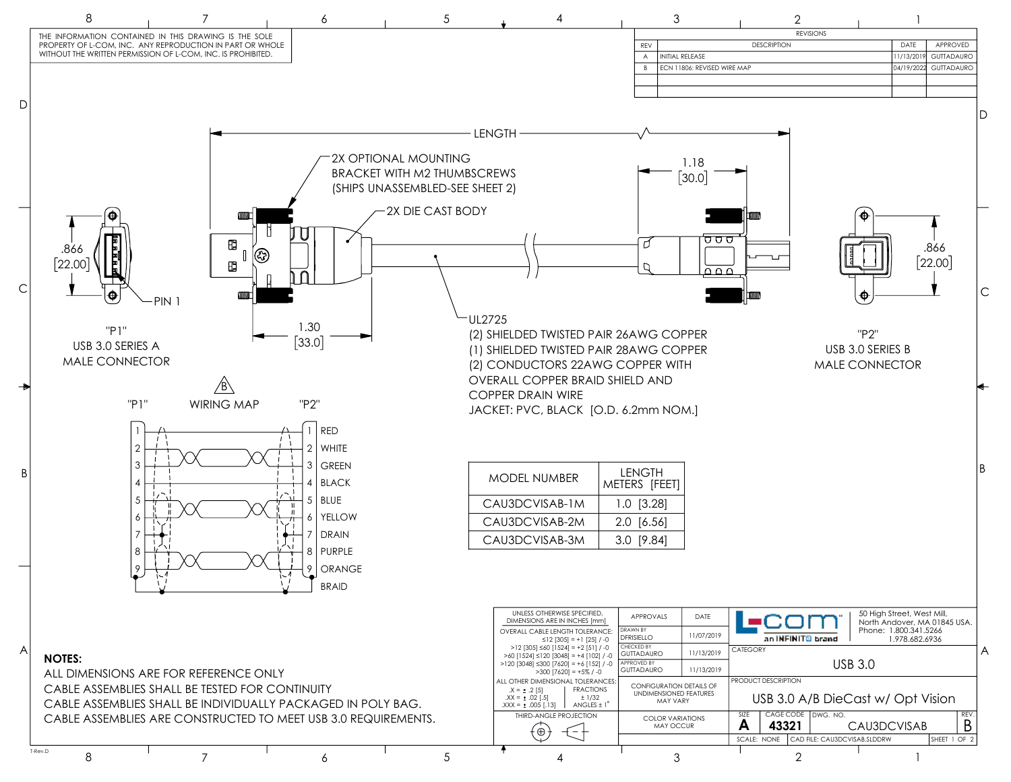